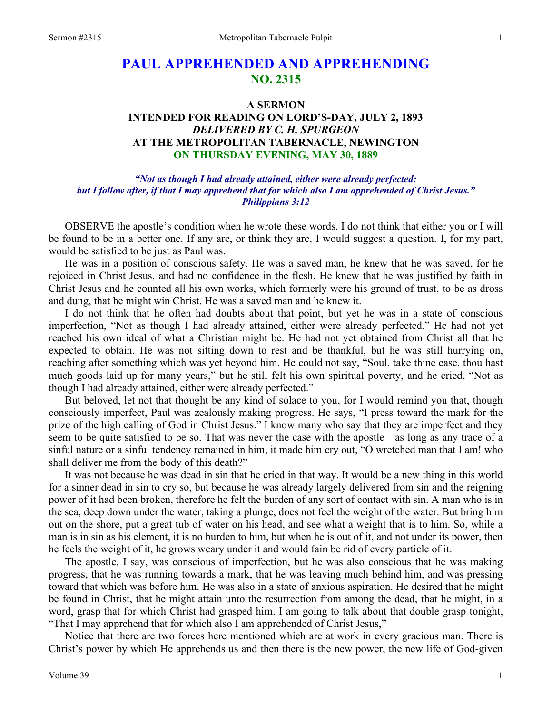# **PAUL APPREHENDED AND APPREHENDING NO. 2315**

## **A SERMON**

## **INTENDED FOR READING ON LORD'S-DAY, JULY 2, 1893**  *DELIVERED BY C. H. SPURGEON*  **AT THE METROPOLITAN TABERNACLE, NEWINGTON ON THURSDAY EVENING, MAY 30, 1889**

#### *"Not as though I had already attained, either were already perfected: but I follow after, if that I may apprehend that for which also I am apprehended of Christ Jesus." Philippians 3:12*

OBSERVE the apostle's condition when he wrote these words. I do not think that either you or I will be found to be in a better one. If any are, or think they are, I would suggest a question. I, for my part, would be satisfied to be just as Paul was.

He was in a position of conscious safety. He was a saved man, he knew that he was saved, for he rejoiced in Christ Jesus, and had no confidence in the flesh. He knew that he was justified by faith in Christ Jesus and he counted all his own works, which formerly were his ground of trust, to be as dross and dung, that he might win Christ. He was a saved man and he knew it.

I do not think that he often had doubts about that point, but yet he was in a state of conscious imperfection, "Not as though I had already attained, either were already perfected." He had not yet reached his own ideal of what a Christian might be. He had not yet obtained from Christ all that he expected to obtain. He was not sitting down to rest and be thankful, but he was still hurrying on, reaching after something which was yet beyond him. He could not say, "Soul, take thine ease, thou hast much goods laid up for many years," but he still felt his own spiritual poverty, and he cried, "Not as though I had already attained, either were already perfected."

But beloved, let not that thought be any kind of solace to you, for I would remind you that, though consciously imperfect, Paul was zealously making progress. He says, "I press toward the mark for the prize of the high calling of God in Christ Jesus." I know many who say that they are imperfect and they seem to be quite satisfied to be so. That was never the case with the apostle—as long as any trace of a sinful nature or a sinful tendency remained in him, it made him cry out, "O wretched man that I am! who shall deliver me from the body of this death?"

It was not because he was dead in sin that he cried in that way. It would be a new thing in this world for a sinner dead in sin to cry so, but because he was already largely delivered from sin and the reigning power of it had been broken, therefore he felt the burden of any sort of contact with sin. A man who is in the sea, deep down under the water, taking a plunge, does not feel the weight of the water. But bring him out on the shore, put a great tub of water on his head, and see what a weight that is to him. So, while a man is in sin as his element, it is no burden to him, but when he is out of it, and not under its power, then he feels the weight of it, he grows weary under it and would fain be rid of every particle of it.

The apostle, I say, was conscious of imperfection, but he was also conscious that he was making progress, that he was running towards a mark, that he was leaving much behind him, and was pressing toward that which was before him. He was also in a state of anxious aspiration. He desired that he might be found in Christ, that he might attain unto the resurrection from among the dead, that he might, in a word, grasp that for which Christ had grasped him. I am going to talk about that double grasp tonight, "That I may apprehend that for which also I am apprehended of Christ Jesus,"

Notice that there are two forces here mentioned which are at work in every gracious man. There is Christ's power by which He apprehends us and then there is the new power, the new life of God-given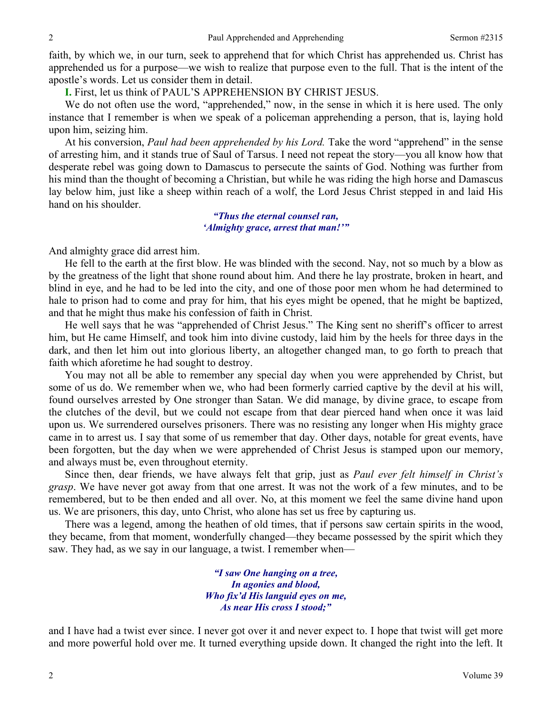faith, by which we, in our turn, seek to apprehend that for which Christ has apprehended us. Christ has apprehended us for a purpose—we wish to realize that purpose even to the full. That is the intent of the apostle's words. Let us consider them in detail.

**I.** First, let us think of PAUL'S APPREHENSION BY CHRIST JESUS.

We do not often use the word, "apprehended," now, in the sense in which it is here used. The only instance that I remember is when we speak of a policeman apprehending a person, that is, laying hold upon him, seizing him.

At his conversion, *Paul had been apprehended by his Lord.* Take the word "apprehend" in the sense of arresting him, and it stands true of Saul of Tarsus. I need not repeat the story—you all know how that desperate rebel was going down to Damascus to persecute the saints of God. Nothing was further from his mind than the thought of becoming a Christian, but while he was riding the high horse and Damascus lay below him, just like a sheep within reach of a wolf, the Lord Jesus Christ stepped in and laid His hand on his shoulder.

> *"Thus the eternal counsel ran, 'Almighty grace, arrest that man!'"*

And almighty grace did arrest him.

He fell to the earth at the first blow. He was blinded with the second. Nay, not so much by a blow as by the greatness of the light that shone round about him. And there he lay prostrate, broken in heart, and blind in eye, and he had to be led into the city, and one of those poor men whom he had determined to hale to prison had to come and pray for him, that his eyes might be opened, that he might be baptized, and that he might thus make his confession of faith in Christ.

He well says that he was "apprehended of Christ Jesus." The King sent no sheriff's officer to arrest him, but He came Himself, and took him into divine custody, laid him by the heels for three days in the dark, and then let him out into glorious liberty, an altogether changed man, to go forth to preach that faith which aforetime he had sought to destroy.

You may not all be able to remember any special day when you were apprehended by Christ, but some of us do. We remember when we, who had been formerly carried captive by the devil at his will, found ourselves arrested by One stronger than Satan. We did manage, by divine grace, to escape from the clutches of the devil, but we could not escape from that dear pierced hand when once it was laid upon us. We surrendered ourselves prisoners. There was no resisting any longer when His mighty grace came in to arrest us. I say that some of us remember that day. Other days, notable for great events, have been forgotten, but the day when we were apprehended of Christ Jesus is stamped upon our memory, and always must be, even throughout eternity.

Since then, dear friends, we have always felt that grip, just as *Paul ever felt himself in Christ's grasp*. We have never got away from that one arrest. It was not the work of a few minutes, and to be remembered, but to be then ended and all over. No, at this moment we feel the same divine hand upon us. We are prisoners, this day, unto Christ, who alone has set us free by capturing us.

There was a legend, among the heathen of old times, that if persons saw certain spirits in the wood, they became, from that moment, wonderfully changed—they became possessed by the spirit which they saw. They had, as we say in our language, a twist. I remember when—

> *"I saw One hanging on a tree, In agonies and blood, Who fix'd His languid eyes on me, As near His cross I stood;"*

and I have had a twist ever since. I never got over it and never expect to. I hope that twist will get more and more powerful hold over me. It turned everything upside down. It changed the right into the left. It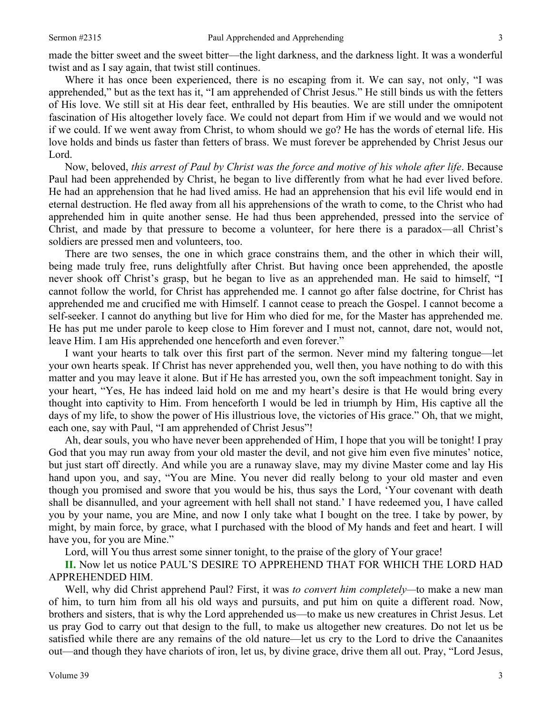made the bitter sweet and the sweet bitter—the light darkness, and the darkness light. It was a wonderful twist and as I say again, that twist still continues.

Where it has once been experienced, there is no escaping from it. We can say, not only, "I was apprehended," but as the text has it, "I am apprehended of Christ Jesus." He still binds us with the fetters of His love. We still sit at His dear feet, enthralled by His beauties. We are still under the omnipotent fascination of His altogether lovely face. We could not depart from Him if we would and we would not if we could. If we went away from Christ, to whom should we go? He has the words of eternal life. His love holds and binds us faster than fetters of brass. We must forever be apprehended by Christ Jesus our Lord.

Now, beloved, *this arrest of Paul by Christ was the force and motive of his whole after life*. Because Paul had been apprehended by Christ, he began to live differently from what he had ever lived before. He had an apprehension that he had lived amiss. He had an apprehension that his evil life would end in eternal destruction. He fled away from all his apprehensions of the wrath to come, to the Christ who had apprehended him in quite another sense. He had thus been apprehended, pressed into the service of Christ, and made by that pressure to become a volunteer, for here there is a paradox—all Christ's soldiers are pressed men and volunteers, too.

There are two senses, the one in which grace constrains them, and the other in which their will, being made truly free, runs delightfully after Christ. But having once been apprehended, the apostle never shook off Christ's grasp, but he began to live as an apprehended man. He said to himself, "I cannot follow the world, for Christ has apprehended me. I cannot go after false doctrine, for Christ has apprehended me and crucified me with Himself. I cannot cease to preach the Gospel. I cannot become a self-seeker. I cannot do anything but live for Him who died for me, for the Master has apprehended me. He has put me under parole to keep close to Him forever and I must not, cannot, dare not, would not, leave Him. I am His apprehended one henceforth and even forever."

I want your hearts to talk over this first part of the sermon. Never mind my faltering tongue—let your own hearts speak. If Christ has never apprehended you, well then, you have nothing to do with this matter and you may leave it alone. But if He has arrested you, own the soft impeachment tonight. Say in your heart, "Yes, He has indeed laid hold on me and my heart's desire is that He would bring every thought into captivity to Him. From henceforth I would be led in triumph by Him, His captive all the days of my life, to show the power of His illustrious love, the victories of His grace." Oh, that we might, each one, say with Paul, "I am apprehended of Christ Jesus"!

Ah, dear souls, you who have never been apprehended of Him, I hope that you will be tonight! I pray God that you may run away from your old master the devil, and not give him even five minutes' notice, but just start off directly. And while you are a runaway slave, may my divine Master come and lay His hand upon you, and say, "You are Mine. You never did really belong to your old master and even though you promised and swore that you would be his, thus says the Lord, 'Your covenant with death shall be disannulled, and your agreement with hell shall not stand.' I have redeemed you, I have called you by your name, you are Mine, and now I only take what I bought on the tree. I take by power, by might, by main force, by grace, what I purchased with the blood of My hands and feet and heart. I will have you, for you are Mine."

Lord, will You thus arrest some sinner tonight, to the praise of the glory of Your grace!

**II.** Now let us notice PAUL'S DESIRE TO APPREHEND THAT FOR WHICH THE LORD HAD APPREHENDED HIM.

Well, why did Christ apprehend Paul? First, it was *to convert him completely—*to make a new man of him, to turn him from all his old ways and pursuits, and put him on quite a different road. Now, brothers and sisters, that is why the Lord apprehended us—to make us new creatures in Christ Jesus. Let us pray God to carry out that design to the full, to make us altogether new creatures. Do not let us be satisfied while there are any remains of the old nature—let us cry to the Lord to drive the Canaanites out—and though they have chariots of iron, let us, by divine grace, drive them all out. Pray, "Lord Jesus,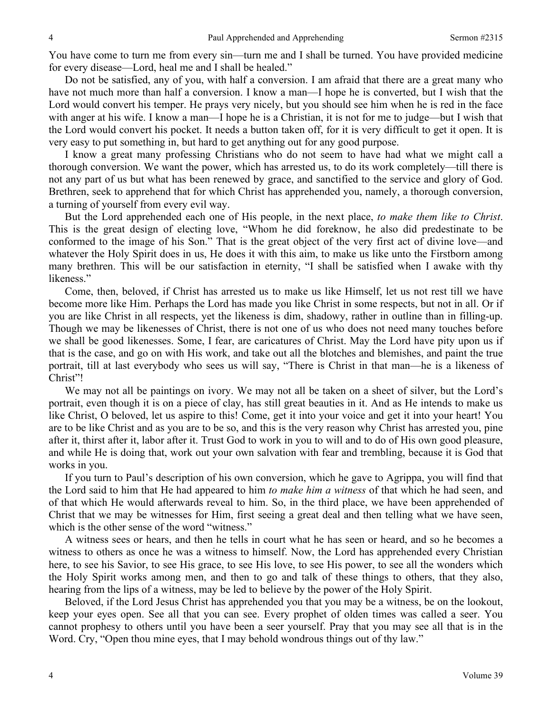You have come to turn me from every sin—turn me and I shall be turned. You have provided medicine for every disease—Lord, heal me and I shall be healed."

Do not be satisfied, any of you, with half a conversion. I am afraid that there are a great many who have not much more than half a conversion. I know a man—I hope he is converted, but I wish that the Lord would convert his temper. He prays very nicely, but you should see him when he is red in the face with anger at his wife. I know a man—I hope he is a Christian, it is not for me to judge—but I wish that the Lord would convert his pocket. It needs a button taken off, for it is very difficult to get it open. It is very easy to put something in, but hard to get anything out for any good purpose.

I know a great many professing Christians who do not seem to have had what we might call a thorough conversion. We want the power, which has arrested us, to do its work completely—till there is not any part of us but what has been renewed by grace, and sanctified to the service and glory of God. Brethren, seek to apprehend that for which Christ has apprehended you, namely, a thorough conversion, a turning of yourself from every evil way.

But the Lord apprehended each one of His people, in the next place, *to make them like to Christ*. This is the great design of electing love, "Whom he did foreknow, he also did predestinate to be conformed to the image of his Son." That is the great object of the very first act of divine love—and whatever the Holy Spirit does in us, He does it with this aim, to make us like unto the Firstborn among many brethren. This will be our satisfaction in eternity, "I shall be satisfied when I awake with thy likeness."

Come, then, beloved, if Christ has arrested us to make us like Himself, let us not rest till we have become more like Him. Perhaps the Lord has made you like Christ in some respects, but not in all. Or if you are like Christ in all respects, yet the likeness is dim, shadowy, rather in outline than in filling-up. Though we may be likenesses of Christ, there is not one of us who does not need many touches before we shall be good likenesses. Some, I fear, are caricatures of Christ. May the Lord have pity upon us if that is the case, and go on with His work, and take out all the blotches and blemishes, and paint the true portrait, till at last everybody who sees us will say, "There is Christ in that man—he is a likeness of Christ"!

We may not all be paintings on ivory. We may not all be taken on a sheet of silver, but the Lord's portrait, even though it is on a piece of clay, has still great beauties in it. And as He intends to make us like Christ, O beloved, let us aspire to this! Come, get it into your voice and get it into your heart! You are to be like Christ and as you are to be so, and this is the very reason why Christ has arrested you, pine after it, thirst after it, labor after it. Trust God to work in you to will and to do of His own good pleasure, and while He is doing that, work out your own salvation with fear and trembling, because it is God that works in you.

If you turn to Paul's description of his own conversion, which he gave to Agrippa, you will find that the Lord said to him that He had appeared to him *to make him a witness* of that which he had seen, and of that which He would afterwards reveal to him. So, in the third place, we have been apprehended of Christ that we may be witnesses for Him, first seeing a great deal and then telling what we have seen, which is the other sense of the word "witness."

A witness sees or hears, and then he tells in court what he has seen or heard, and so he becomes a witness to others as once he was a witness to himself. Now, the Lord has apprehended every Christian here, to see his Savior, to see His grace, to see His love, to see His power, to see all the wonders which the Holy Spirit works among men, and then to go and talk of these things to others, that they also, hearing from the lips of a witness, may be led to believe by the power of the Holy Spirit.

Beloved, if the Lord Jesus Christ has apprehended you that you may be a witness, be on the lookout, keep your eyes open. See all that you can see. Every prophet of olden times was called a seer. You cannot prophesy to others until you have been a seer yourself. Pray that you may see all that is in the Word. Cry, "Open thou mine eyes, that I may behold wondrous things out of thy law."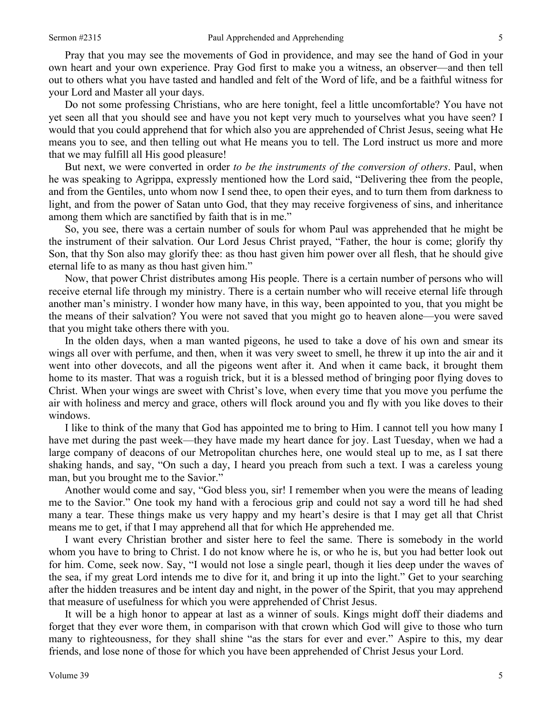Pray that you may see the movements of God in providence, and may see the hand of God in your own heart and your own experience. Pray God first to make you a witness, an observer—and then tell out to others what you have tasted and handled and felt of the Word of life, and be a faithful witness for your Lord and Master all your days.

Do not some professing Christians, who are here tonight, feel a little uncomfortable? You have not yet seen all that you should see and have you not kept very much to yourselves what you have seen? I would that you could apprehend that for which also you are apprehended of Christ Jesus, seeing what He means you to see, and then telling out what He means you to tell. The Lord instruct us more and more that we may fulfill all His good pleasure!

But next, we were converted in order *to be the instruments of the conversion of others*. Paul, when he was speaking to Agrippa, expressly mentioned how the Lord said, "Delivering thee from the people, and from the Gentiles, unto whom now I send thee, to open their eyes, and to turn them from darkness to light, and from the power of Satan unto God, that they may receive forgiveness of sins, and inheritance among them which are sanctified by faith that is in me."

So, you see, there was a certain number of souls for whom Paul was apprehended that he might be the instrument of their salvation. Our Lord Jesus Christ prayed, "Father, the hour is come; glorify thy Son, that thy Son also may glorify thee: as thou hast given him power over all flesh, that he should give eternal life to as many as thou hast given him."

Now, that power Christ distributes among His people. There is a certain number of persons who will receive eternal life through my ministry. There is a certain number who will receive eternal life through another man's ministry. I wonder how many have, in this way, been appointed to you, that you might be the means of their salvation? You were not saved that you might go to heaven alone—you were saved that you might take others there with you.

In the olden days, when a man wanted pigeons, he used to take a dove of his own and smear its wings all over with perfume, and then, when it was very sweet to smell, he threw it up into the air and it went into other dovecots, and all the pigeons went after it. And when it came back, it brought them home to its master. That was a roguish trick, but it is a blessed method of bringing poor flying doves to Christ. When your wings are sweet with Christ's love, when every time that you move you perfume the air with holiness and mercy and grace, others will flock around you and fly with you like doves to their windows.

I like to think of the many that God has appointed me to bring to Him. I cannot tell you how many I have met during the past week—they have made my heart dance for joy. Last Tuesday, when we had a large company of deacons of our Metropolitan churches here, one would steal up to me, as I sat there shaking hands, and say, "On such a day, I heard you preach from such a text. I was a careless young man, but you brought me to the Savior."

Another would come and say, "God bless you, sir! I remember when you were the means of leading me to the Savior." One took my hand with a ferocious grip and could not say a word till he had shed many a tear. These things make us very happy and my heart's desire is that I may get all that Christ means me to get, if that I may apprehend all that for which He apprehended me.

I want every Christian brother and sister here to feel the same. There is somebody in the world whom you have to bring to Christ. I do not know where he is, or who he is, but you had better look out for him. Come, seek now. Say, "I would not lose a single pearl, though it lies deep under the waves of the sea, if my great Lord intends me to dive for it, and bring it up into the light." Get to your searching after the hidden treasures and be intent day and night, in the power of the Spirit, that you may apprehend that measure of usefulness for which you were apprehended of Christ Jesus.

It will be a high honor to appear at last as a winner of souls. Kings might doff their diadems and forget that they ever wore them, in comparison with that crown which God will give to those who turn many to righteousness, for they shall shine "as the stars for ever and ever." Aspire to this, my dear friends, and lose none of those for which you have been apprehended of Christ Jesus your Lord.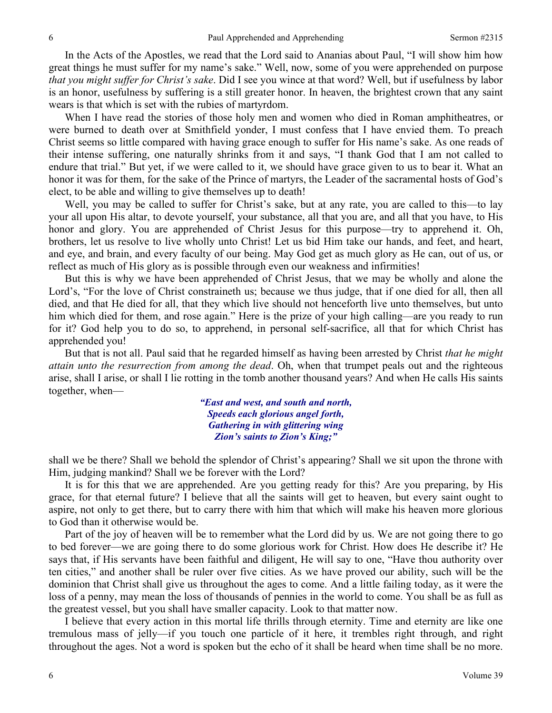In the Acts of the Apostles, we read that the Lord said to Ananias about Paul, "I will show him how great things he must suffer for my name's sake." Well, now, some of you were apprehended on purpose *that you might suffer for Christ's sake*. Did I see you wince at that word? Well, but if usefulness by labor is an honor, usefulness by suffering is a still greater honor. In heaven, the brightest crown that any saint wears is that which is set with the rubies of martyrdom.

When I have read the stories of those holy men and women who died in Roman amphitheatres, or were burned to death over at Smithfield yonder, I must confess that I have envied them. To preach Christ seems so little compared with having grace enough to suffer for His name's sake. As one reads of their intense suffering, one naturally shrinks from it and says, "I thank God that I am not called to endure that trial." But yet, if we were called to it, we should have grace given to us to bear it. What an honor it was for them, for the sake of the Prince of martyrs, the Leader of the sacramental hosts of God's elect, to be able and willing to give themselves up to death!

Well, you may be called to suffer for Christ's sake, but at any rate, you are called to this—to lay your all upon His altar, to devote yourself, your substance, all that you are, and all that you have, to His honor and glory. You are apprehended of Christ Jesus for this purpose—try to apprehend it. Oh, brothers, let us resolve to live wholly unto Christ! Let us bid Him take our hands, and feet, and heart, and eye, and brain, and every faculty of our being. May God get as much glory as He can, out of us, or reflect as much of His glory as is possible through even our weakness and infirmities!

But this is why we have been apprehended of Christ Jesus, that we may be wholly and alone the Lord's, "For the love of Christ constraineth us; because we thus judge, that if one died for all, then all died, and that He died for all, that they which live should not henceforth live unto themselves, but unto him which died for them, and rose again." Here is the prize of your high calling—are you ready to run for it? God help you to do so, to apprehend, in personal self-sacrifice, all that for which Christ has apprehended you!

But that is not all. Paul said that he regarded himself as having been arrested by Christ *that he might attain unto the resurrection from among the dead*. Oh, when that trumpet peals out and the righteous arise, shall I arise, or shall I lie rotting in the tomb another thousand years? And when He calls His saints together, when—

> *"East and west, and south and north, Speeds each glorious angel forth, Gathering in with glittering wing Zion's saints to Zion's King;"*

shall we be there? Shall we behold the splendor of Christ's appearing? Shall we sit upon the throne with Him, judging mankind? Shall we be forever with the Lord?

It is for this that we are apprehended. Are you getting ready for this? Are you preparing, by His grace, for that eternal future? I believe that all the saints will get to heaven, but every saint ought to aspire, not only to get there, but to carry there with him that which will make his heaven more glorious to God than it otherwise would be.

Part of the joy of heaven will be to remember what the Lord did by us. We are not going there to go to bed forever—we are going there to do some glorious work for Christ. How does He describe it? He says that, if His servants have been faithful and diligent, He will say to one, "Have thou authority over ten cities," and another shall be ruler over five cities. As we have proved our ability, such will be the dominion that Christ shall give us throughout the ages to come. And a little failing today, as it were the loss of a penny, may mean the loss of thousands of pennies in the world to come. You shall be as full as the greatest vessel, but you shall have smaller capacity. Look to that matter now.

I believe that every action in this mortal life thrills through eternity. Time and eternity are like one tremulous mass of jelly—if you touch one particle of it here, it trembles right through, and right throughout the ages. Not a word is spoken but the echo of it shall be heard when time shall be no more.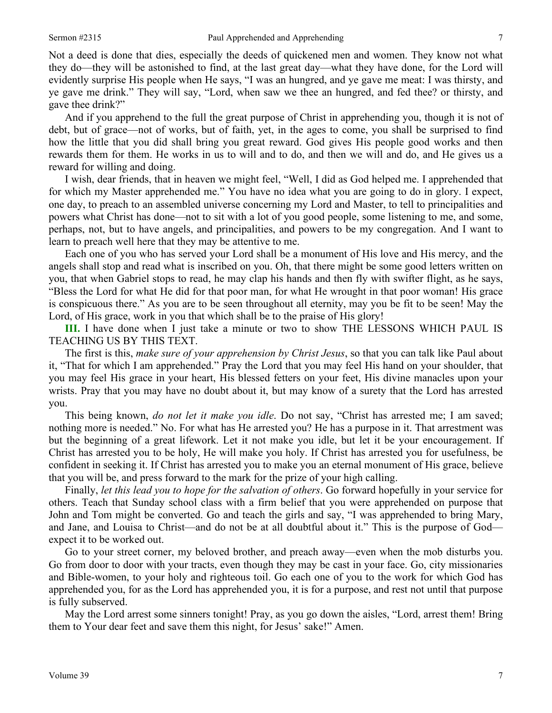Not a deed is done that dies, especially the deeds of quickened men and women. They know not what they do—they will be astonished to find, at the last great day—what they have done, for the Lord will evidently surprise His people when He says, "I was an hungred, and ye gave me meat: I was thirsty, and ye gave me drink." They will say, "Lord, when saw we thee an hungred, and fed thee? or thirsty, and gave thee drink?"

And if you apprehend to the full the great purpose of Christ in apprehending you, though it is not of debt, but of grace—not of works, but of faith, yet, in the ages to come, you shall be surprised to find how the little that you did shall bring you great reward. God gives His people good works and then rewards them for them. He works in us to will and to do, and then we will and do, and He gives us a reward for willing and doing.

I wish, dear friends, that in heaven we might feel, "Well, I did as God helped me. I apprehended that for which my Master apprehended me." You have no idea what you are going to do in glory. I expect, one day, to preach to an assembled universe concerning my Lord and Master, to tell to principalities and powers what Christ has done—not to sit with a lot of you good people, some listening to me, and some, perhaps, not, but to have angels, and principalities, and powers to be my congregation. And I want to learn to preach well here that they may be attentive to me.

Each one of you who has served your Lord shall be a monument of His love and His mercy, and the angels shall stop and read what is inscribed on you. Oh, that there might be some good letters written on you, that when Gabriel stops to read, he may clap his hands and then fly with swifter flight, as he says, "Bless the Lord for what He did for that poor man, for what He wrought in that poor woman! His grace is conspicuous there." As you are to be seen throughout all eternity, may you be fit to be seen! May the Lord, of His grace, work in you that which shall be to the praise of His glory!

**III.** I have done when I just take a minute or two to show THE LESSONS WHICH PAUL IS TEACHING US BY THIS TEXT.

The first is this, *make sure of your apprehension by Christ Jesus*, so that you can talk like Paul about it, "That for which I am apprehended." Pray the Lord that you may feel His hand on your shoulder, that you may feel His grace in your heart, His blessed fetters on your feet, His divine manacles upon your wrists. Pray that you may have no doubt about it, but may know of a surety that the Lord has arrested you.

This being known, *do not let it make you idle*. Do not say, "Christ has arrested me; I am saved; nothing more is needed." No. For what has He arrested you? He has a purpose in it. That arrestment was but the beginning of a great lifework. Let it not make you idle, but let it be your encouragement. If Christ has arrested you to be holy, He will make you holy. If Christ has arrested you for usefulness, be confident in seeking it. If Christ has arrested you to make you an eternal monument of His grace, believe that you will be, and press forward to the mark for the prize of your high calling.

Finally, *let this lead you to hope for the salvation of others*. Go forward hopefully in your service for others. Teach that Sunday school class with a firm belief that you were apprehended on purpose that John and Tom might be converted. Go and teach the girls and say, "I was apprehended to bring Mary, and Jane, and Louisa to Christ—and do not be at all doubtful about it." This is the purpose of God expect it to be worked out.

Go to your street corner, my beloved brother, and preach away—even when the mob disturbs you. Go from door to door with your tracts, even though they may be cast in your face. Go, city missionaries and Bible-women, to your holy and righteous toil. Go each one of you to the work for which God has apprehended you, for as the Lord has apprehended you, it is for a purpose, and rest not until that purpose is fully subserved.

May the Lord arrest some sinners tonight! Pray, as you go down the aisles, "Lord, arrest them! Bring them to Your dear feet and save them this night, for Jesus' sake!" Amen.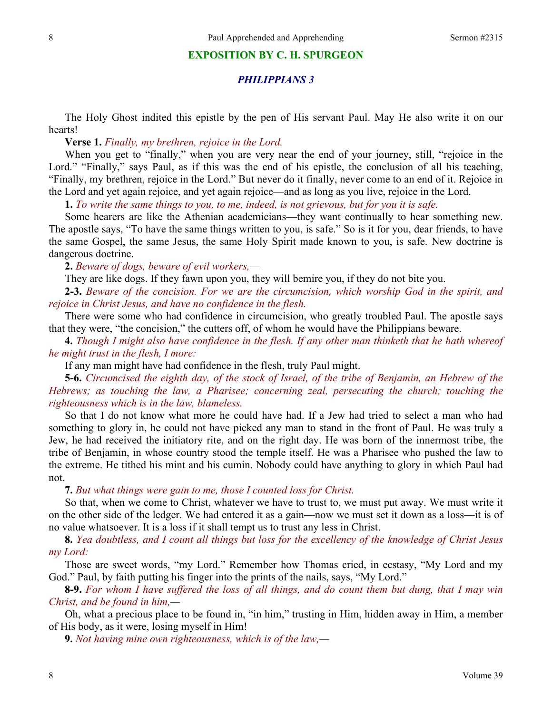#### **EXPOSITION BY C. H. SPURGEON**

### *PHILIPPIANS 3*

The Holy Ghost indited this epistle by the pen of His servant Paul. May He also write it on our hearts!

**Verse 1.** *Finally, my brethren, rejoice in the Lord.*

When you get to "finally," when you are very near the end of your journey, still, "rejoice in the Lord." "Finally," says Paul, as if this was the end of his epistle, the conclusion of all his teaching, "Finally, my brethren, rejoice in the Lord." But never do it finally, never come to an end of it. Rejoice in the Lord and yet again rejoice, and yet again rejoice—and as long as you live, rejoice in the Lord.

**1.** *To write the same things to you, to me, indeed, is not grievous, but for you it is safe.*

Some hearers are like the Athenian academicians—they want continually to hear something new. The apostle says, "To have the same things written to you, is safe." So is it for you, dear friends, to have the same Gospel, the same Jesus, the same Holy Spirit made known to you, is safe. New doctrine is dangerous doctrine.

**2.** *Beware of dogs, beware of evil workers,—*

They are like dogs. If they fawn upon you, they will bemire you, if they do not bite you.

**2-3.** *Beware of the concision. For we are the circumcision, which worship God in the spirit, and rejoice in Christ Jesus, and have no confidence in the flesh.*

There were some who had confidence in circumcision, who greatly troubled Paul. The apostle says that they were, "the concision," the cutters off, of whom he would have the Philippians beware.

**4.** *Though I might also have confidence in the flesh. If any other man thinketh that he hath whereof he might trust in the flesh, I more:*

If any man might have had confidence in the flesh, truly Paul might.

**5-6.** *Circumcised the eighth day, of the stock of Israel, of the tribe of Benjamin, an Hebrew of the Hebrews; as touching the law, a Pharisee; concerning zeal, persecuting the church; touching the righteousness which is in the law, blameless.* 

So that I do not know what more he could have had. If a Jew had tried to select a man who had something to glory in, he could not have picked any man to stand in the front of Paul. He was truly a Jew, he had received the initiatory rite, and on the right day. He was born of the innermost tribe, the tribe of Benjamin, in whose country stood the temple itself. He was a Pharisee who pushed the law to the extreme. He tithed his mint and his cumin. Nobody could have anything to glory in which Paul had not.

**7.** *But what things were gain to me, those I counted loss for Christ.*

So that, when we come to Christ, whatever we have to trust to, we must put away. We must write it on the other side of the ledger. We had entered it as a gain—now we must set it down as a loss—it is of no value whatsoever. It is a loss if it shall tempt us to trust any less in Christ.

**8.** *Yea doubtless, and I count all things but loss for the excellency of the knowledge of Christ Jesus my Lord:*

Those are sweet words, "my Lord." Remember how Thomas cried, in ecstasy, "My Lord and my God." Paul, by faith putting his finger into the prints of the nails, says, "My Lord."

**8-9.** *For whom I have suffered the loss of all things, and do count them but dung, that I may win Christ, and be found in him,—*

Oh, what a precious place to be found in, "in him," trusting in Him, hidden away in Him, a member of His body, as it were, losing myself in Him!

**9.** *Not having mine own righteousness, which is of the law,—*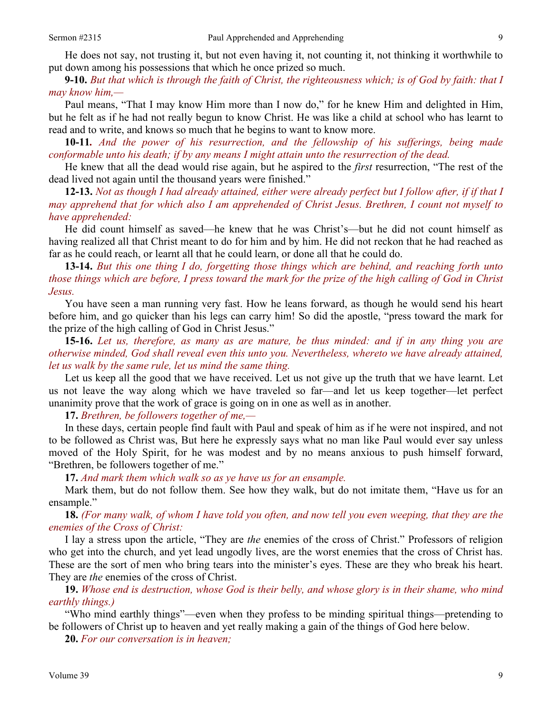**9-10.** *But that which is through the faith of Christ, the righteousness which; is of God by faith: that I may know him,—* 

Paul means, "That I may know Him more than I now do," for he knew Him and delighted in Him, but he felt as if he had not really begun to know Christ. He was like a child at school who has learnt to read and to write, and knows so much that he begins to want to know more.

**10-11***. And the power of his resurrection, and the fellowship of his sufferings, being made conformable unto his death; if by any means I might attain unto the resurrection of the dead.* 

He knew that all the dead would rise again, but he aspired to the *first* resurrection, "The rest of the dead lived not again until the thousand years were finished."

**12-13.** *Not as though I had already attained, either were already perfect but I follow after, if if that I may apprehend that for which also I am apprehended of Christ Jesus. Brethren, I count not myself to have apprehended:* 

He did count himself as saved—he knew that he was Christ's—but he did not count himself as having realized all that Christ meant to do for him and by him. He did not reckon that he had reached as far as he could reach, or learnt all that he could learn, or done all that he could do.

**13-14.** *But this one thing I do, forgetting those things which are behind, and reaching forth unto those things which are before, I press toward the mark for the prize of the high calling of God in Christ Jesus.* 

You have seen a man running very fast. How he leans forward, as though he would send his heart before him, and go quicker than his legs can carry him! So did the apostle, "press toward the mark for the prize of the high calling of God in Christ Jesus."

**15-16.** *Let us, therefore, as many as are mature, be thus minded: and if in any thing you are otherwise minded, God shall reveal even this unto you. Nevertheless, whereto we have already attained, let us walk by the same rule, let us mind the same thing.*

Let us keep all the good that we have received. Let us not give up the truth that we have learnt. Let us not leave the way along which we have traveled so far—and let us keep together—let perfect unanimity prove that the work of grace is going on in one as well as in another.

**17.** *Brethren, be followers together of me,—* 

In these days, certain people find fault with Paul and speak of him as if he were not inspired, and not to be followed as Christ was, But here he expressly says what no man like Paul would ever say unless moved of the Holy Spirit, for he was modest and by no means anxious to push himself forward, "Brethren, be followers together of me."

**17.** *And mark them which walk so as ye have us for an ensample.* 

Mark them, but do not follow them. See how they walk, but do not imitate them, "Have us for an ensample."

**18.** *(For many walk, of whom I have told you often, and now tell you even weeping, that they are the enemies of the Cross of Christ:*

I lay a stress upon the article, "They are *the* enemies of the cross of Christ." Professors of religion who get into the church, and yet lead ungodly lives, are the worst enemies that the cross of Christ has. These are the sort of men who bring tears into the minister's eyes. These are they who break his heart. They are *the* enemies of the cross of Christ.

**19.** *Whose end is destruction, whose God is their belly, and whose glory is in their shame, who mind earthly things.)* 

"Who mind earthly things"—even when they profess to be minding spiritual things—pretending to be followers of Christ up to heaven and yet really making a gain of the things of God here below.

**20.** *For our conversation is in heaven;*